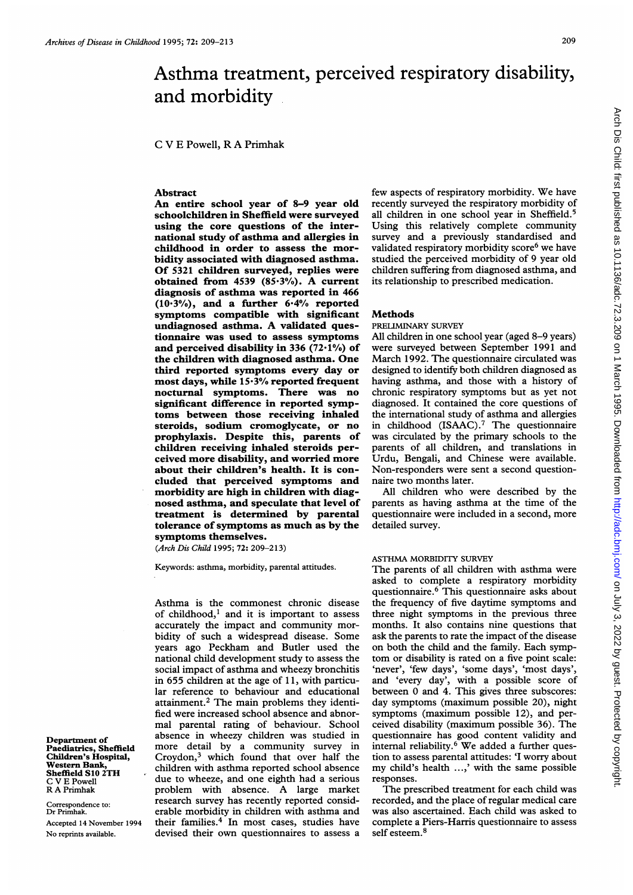# Asthma treatment, perceived respiratory disability, and morbidity

C V E Powell, R A Primhak

#### Abstract

An entire school year of 8-9 year old schoolchildren in Sheffield were surveyed using the core questions of the international study of asthma and allergies in childhood in order to assess the morbidity associated with diagnosed asthma. Of 5321 children surveyed, replies were obtained from <sup>4539</sup> (85-3%). A current diagnosis of asthma was reported in 466  $(10.3\%)$ , and a further  $6.4\%$  reported symptoms compatible with significant undiagnosed asthma. A validated questionnaire was used to assess symptoms and perceived disability in 336  $(72.1\%)$  of the children with diagnosed asthma. One third reported symptoms every day or most days, while  $15.3%$  reported frequent nocturnal symptoms. There was no significant difference in reported symptoms between those receiving inhaled steroids, sodium cromoglycate, or no prophylaxis. Despite this, parents of children receiving inhaled steroids perceived more disability, and worried more about their children's health. It is concluded that perceived symptoms and morbidity are high in children with diagnosed asthma, and speculate that level of treatment is determined by parental tolerance of symptoms as much as by the symptoms themselves.

(Arch Dis Child 1995; 72: 209-213)

Keywords: asthma, morbidity, parental attitudes.

Asthma is the commonest chronic disease of childhood, $<sup>1</sup>$  and it is important to assess</sup> accurately the impact and community morbidity of such a widespread disease. Some years ago Peckham and Butler used the national child development study to assess the social impact of asthma and wheezy bronchitis in  $655$  children at the age of  $11$ , with particular reference to behaviour and educational attainment.2 The main problems they identified were increased school absence and abnormal parental rating of behaviour. School absence in wheezy children was studied in more detail by a community survey in Croydon, $3$  which found that over half the children with asthma reported school absence due to wheeze, and one eighth had a serious problem with absence. A large market research survey has recently reported considerable morbidity in children with asthma and their families.<sup>4</sup> In most cases, studies have devised their own questionnaires to assess <sup>a</sup> few aspects of respiratory morbidity. We have recently surveyed the respiratory morbidity of all children in one school year in Sheffield.<sup>5</sup> Using this relatively complete community survey and a previously standardised and validated respiratory morbidity score<sup>6</sup> we have studied the perceived morbidity of 9 year old children suffering from diagnosed asthma, and its relationship to prescribed medication.

#### **Methods**

## PRELIMINARY SURVEY

All children in one school year (aged 8-9 years) were surveyed between September 1991 and March 1992. The questionnaire circulated was designed to identify both children diagnosed as having asthma, and those with a history of chronic respiratory symptoms but as yet not diagnosed. It contained the core questions of the international study of asthma and allergies in childhood (ISAAC).7 The questionnaire was circulated by the primary schools to the parents of all children, and translations in Urdu, Bengali, and Chinese were available. Non-responders were sent a second questionnaire two months later.

All children who were described by the parents as having asthma at the time of the questionnaire were included in a second, more detailed survey.

#### ASTHMA MORBIDITY SURVEY

The parents of all children with asthma were asked to complete a respiratory morbidity questionnaire.6 This questionnaire asks about the frequency of five daytime symptoms and three night symptoms in the previous three months. It also contains nine questions that ask the parents to rate the impact of the disease on both the child and the family. Each symptom or disability is rated on a five point scale: 'never', 'few days', 'some days', 'most days', and 'every day', with a possible score of between 0 and 4. This gives three subscores: day symptoms (maximum possible 20), night symptoms (maximum possible 12), and perceived disability (maximum possible 36). The questionnaire has good content validity and internal reliability.<sup>6</sup> We added a further question to assess parental attitudes: 'I worry about my child's health ...,' with the same possible responses.

The prescribed treatment for each child was recorded, and the place of regular medical care was also ascertained. Each child was asked to complete a Piers-Harris questionnaire to assess self esteem.<sup>8</sup>

Department of Paediatrics, Sheffield Children's Hospital, Western Bank, Sheffield S10 2TH C V E Powell R A Primhak

Correspondence to: Dr Primhak. Accepted 14 November 1994 No reprints available.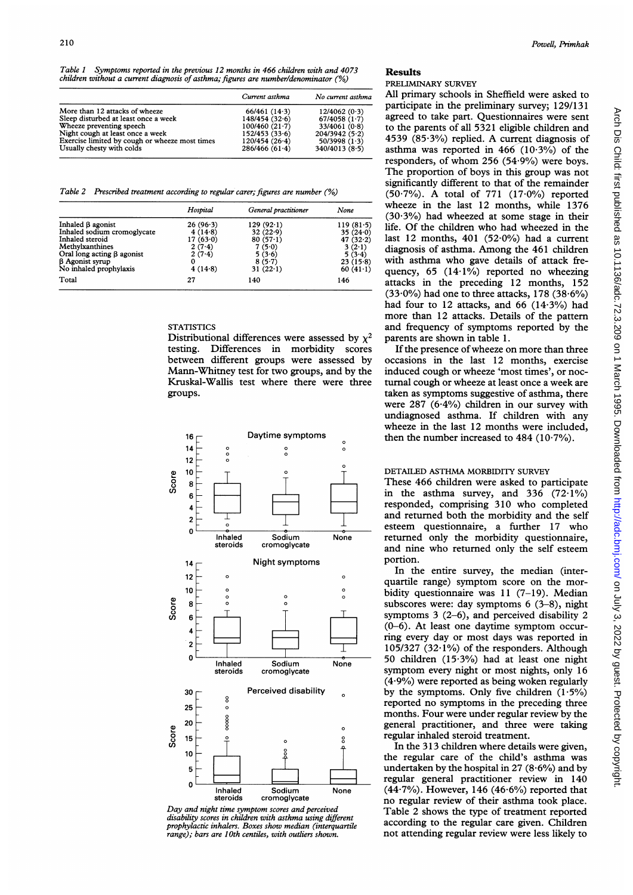Table <sup>1</sup> Symptoms reported in the previous 12 months in 466 children with and 4073  $children$  without a current diagnosis of asthma; figures are number/denominator  $\binom{6}{6}$ 

|                                                | Current asthma  | No current asthma |
|------------------------------------------------|-----------------|-------------------|
| More than 12 attacks of wheeze                 | 66/461(14.3)    | 12/4062(0.3)      |
| Sleep disturbed at least once a week           | 148/454(32.6)   | 67/4058(1.7)      |
| Wheeze preventing speech                       | 100/460(21.7)   | 33/4061(0.8)      |
| Night cough at least once a week               | 152/453(33.6)   | 204/3942(5·2)     |
| Exercise limited by cough or wheeze most times | 120/454(26.4)   | 50/3998(1.3)      |
| Usually chesty with colds                      | $286/466(61-4)$ | 340/4013(8.5)     |

Table 2 Prescribed treatment according to regular carer; figures are number (%)

|                                  | Hospital   | General practitioner | None        |
|----------------------------------|------------|----------------------|-------------|
| Inhaled $\beta$ agonist          | $26(96-3)$ | $129(92-1)$          | 119(81.5)   |
| Inhaled sodium cromoglycate      | $4(14-8)$  | 32(22.9)             | 35(240)     |
| Inhaled steroid                  | 17(63.0)   | 80(57.1)             | 47 $(32.2)$ |
| Methylxanthines                  | $2(7-4)$   | 7(5.0)               | $3(2-1)$    |
| Oral long acting $\beta$ agonist | 2(7.4)     | 5(3.6)               | 5(3.4)      |
| <b>B</b> Agonist syrup           |            | 8(5.7)               | 23(15.8)    |
| No inhaled prophylaxis           | 4(14.8)    | 31 $(22.1)$          | 60(41.1)    |
| Total                            | 27         | 140                  | 146         |

# **STATISTICS**

Distributional differences were assessed by  $x^2$ testing. Differences in morbidity scores between different groups were assessed by Mann-Whitney test for two groups, and by the Kruskal-Wallis test where there were three groups.



Day and night time symptom scores and perceived disability scores in children with asthma using different prophylactic inhalers. Boxes show median (interquartile range); bars are 10th centiles, with outliers shown.

### Results

# PRELIMINARY SURVEY

All primary schools in Sheffield were asked to participate in the preliminary survey; 129/131 agreed to take part. Questionnaires were sent to the parents of all 5321 eligible children and 4539 (85.3%) replied. A current diagnosis of asthma was reported in  $466$  (10.3%) of the responders, of whom  $256$  (54.9%) were boys. The proportion of boys in this group was not significantly different to that of the remainder  $(50.7\%)$ . A total of 771  $(17.0\%)$  reported wheeze in the last 12 months, while 1376  $(30.3%)$  had wheezed at some stage in their life. Of the children who had wheezed in the last 12 months, 401 (52-0%) had a current diagnosis of asthma. Among the 461 children with asthma who gave details of attack frequency,  $65$  (14 $\cdot$ 1%) reported no wheezing attacks in the preceding 12 months, 152  $(33.0\%)$  had one to three attacks, 178  $(38.6\%)$ had four to 12 attacks, and 66 (14.3%) had more than 12 attacks. Details of the pattern and frequency of symptoms reported by the parents are shown in table 1.

If the presence of wheeze on more than three occasions in the last 12 months, exercise induced cough or wheeze 'most times', or nocturnal cough or wheeze at least once a week are taken as symptoms suggestive of asthma, there were 287 (6-4%) children in our survey with undiagnosed asthma. If children with any wheeze in the last 12 months were included, then the number increased to  $484$  ( $10.7\%$ ).

# DETAILED ASTHMA MORBIDITY SURVEY

These 466 children were asked to participate in the asthma survey, and  $336$  (72.1%) responded, comprising 310 who completed and returned both the morbidity and the self esteem questionnaire, a further 17 who returned only the morbidity questionnaire, and nine who returned only the self esteem portion.

In the entire survey, the median (interquartile range) symptom score on the morbidity questionnaire was  $11$  (7-19). Median subscores were: day symptoms 6 (3-8), night symptoms 3 (2-6), and perceived disability 2 (0-6). At least one daytime symptom occurring every day or most days was reported in 105/327 (32.1%) of the responders. Although 50 children (15-3%) had at least one night symptom every night or most nights, only 16  $(4.9\%)$  were reported as being woken regularly by the symptoms. Only five children  $(1.5\%)$ reported no symptoms in the preceding three months. Four were under regular review by the general practitioner, and three were taking regular inhaled steroid treatment.

In the 313 children where details were given, the regular care of the child's asthma was undertaken by the hospital in 27  $(8.6%)$  and by regular general practitioner review in 140  $(44.7\%)$ . However, 146  $(46.6\%)$  reported that no regular review of their asthma took place. Table 2 shows the type of treatment reported according to the regular care given. Children not attending regular review were less likely to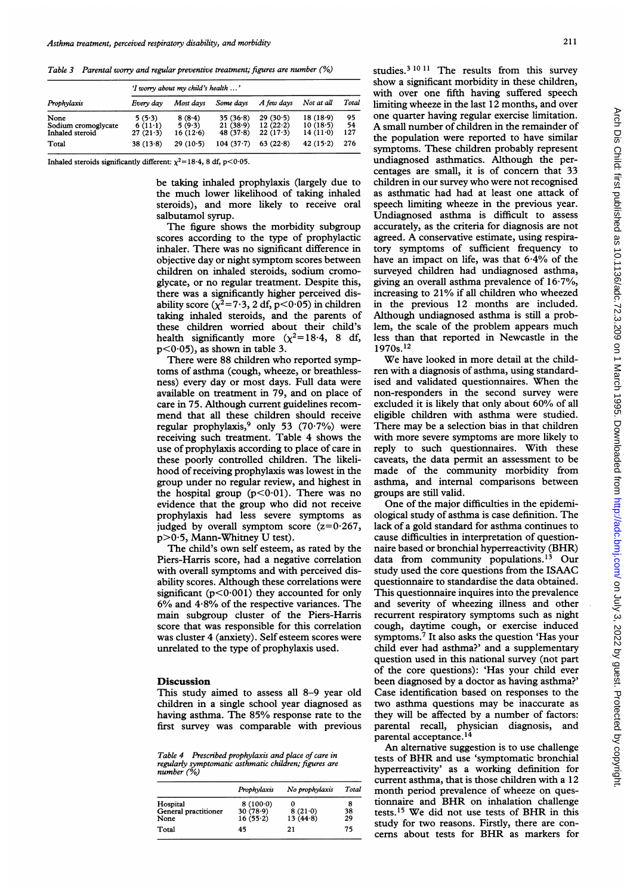Table 3 Parental wony and regular preventive treatment; figures are number (%)

| Prophylaxis                                    | 'I worry about my child's health ' |                              |                                  |                                    |                                 |                 |
|------------------------------------------------|------------------------------------|------------------------------|----------------------------------|------------------------------------|---------------------------------|-----------------|
|                                                | Every day                          | Most davs                    | Some davs                        | A few days                         | Not at all                      | Total           |
| None<br>Sodium cromoglycate<br>Inhaled steroid | 5(5.3)<br>$6(11-1)$<br>27(21.3)    | 8(8.4)<br>5(9.3)<br>16(12.6) | 35(36.8)<br>21(38.9)<br>48(37.8) | 29(30.5)<br>12(22.2)<br>$22(17-3)$ | 18(18.9)<br>10(18.5)<br>14(110) | 95<br>54<br>127 |
| Total                                          | 38(13.8)                           | 29(10.5)                     | $104(37-7)$                      | 63(22.8)                           | 42(15.2)                        | 276             |

Inhaled steroids significantly different:  $\chi^2$ =18.4, 8 df, p<0.05.

be taking inhaled prophylaxis (largely due to the much lower likelihood of taking inhaled steroids), and more likely to receive oral salbutamol syrup.

The figure shows the morbidity subgroup scores according to the type of prophylactic inhaler. There was no significant difference in objective day or night symptom scores between children on inhaled steroids, sodium cromoglycate, or no regular treatment. Despite this, there was a significantly higher perceived disability score ( $\chi^2$ =7.3, 2 df, p<0.05) in children taking inhaled steroids, and the parents of these children worried about their child's health significantly more  $(\chi^2=18.4, 8 \text{ df},$  $p<0.05$ , as shown in table 3.

There were 88 children who reported symptoms of asthma (cough, wheeze, or breathlessness) every day or most days. Full data were available on treatment in 79, and on place of care in 75. Although current guidelines recommend that all these children should receive regular prophylaxis,<sup>9</sup> only 53 (70.7%) were receiving such treatment. Table 4 shows the use of prophylaxis according to place of care in these poorly controlled children. The likelihood of receiving prophylaxis was lowest in the group under no regular review, and highest in the hospital group ( $p<0.01$ ). There was no evidence that the group who did not receive prophylaxis had less severe symptoms as judged by overall symptom score  $(z=0.267,$  $p>0.5$ , Mann-Whitney U test).

The child's own self esteem, as rated by the Piers-Harris score, had a negative correlation with overall symptoms and with perceived disability scores. Although these correlations were significant ( $p < 0.001$ ) they accounted for only  $6\%$  and  $4.8\%$  of the respective variances. The main subgroup cluster of the Piers-Harris score that was responsible for this correlation was cluster 4 (anxiety). Self esteem scores were unrelated to the type of prophylaxis used.

#### Discussion

This study aimed to assess all 8-9 year old children in a single school year diagnosed as having asthma. The 85% response rate to the first survey was comparable with previous

Table 4 Prescribed prophylaxis and place of care in regularly symptomatic asthmatic children; figures are  $number (%)$ 

|                      | Prophylaxis | No prophylaxis | Total |
|----------------------|-------------|----------------|-------|
| Hospital             | 8(100.0)    |                | 8     |
| General practitioner | 30(78.9)    | 8(21.0)        | 38    |
| None                 | 16(55.2)    | 13(44.8)       | 29    |
| Total                | 45          | 21             | 75    |

studies.<sup>3 10 11</sup> The results from this survey show a significant morbidity in these children, with over one fifth having suffered speech limiting wheeze in the last 12 months, and over one quarter having regular exercise limitation. A small number of children in the remainder of the population were reported to have similar symptoms. These children probably represent undiagnosed asthmatics. Although the percentages are small, it is of concern that 33 children in our survey who were not recognised as asthmatic had had at least one attack of speech limiting wheeze in the previous year. Undiagnosed asthma is difficult to assess accurately, as the criteria for diagnosis are not agreed. A conservative estimate, using respiratory symptoms of sufficient frequency to have an impact on life, was that 6-4% of the surveyed children had undiagnosed asthma, giving an overall asthma prevalence of 16-7%, increasing to 21% if all children who wheezed in the previous 12 months are included. Although undiagnosed asthma is still a problem, the scale of the problem appears much less than that reported in Newcastle in the 1970s. 12

We have looked in more detail at the children with a diagnosis of asthma, using standardised and validated questionnaires. When the non-responders in the second survey were excluded it is likely that only about 60% of all eligible children with asthma were studied. There may be <sup>a</sup> selection bias in that children with more severe symptoms are more likely to reply to such questionnaires. With these caveats, the data permit an assessment to be made of the community morbidity from asthma, and internal comparisons between groups are still valid.

One of the major difficulties in the epidemiological study of asthma is case definition. The lack of a gold standard for asthma continues to cause difficulties in interpretation of questionnaire based or bronchial hyperreactivity (BHR) data from community populations.13 Our study used the core questions from the ISAAC questionnaire to standardise the data obtained. This questionnaire inquires into the prevalence and severity of wheezing illness and other recurrent respiratory symptoms such as night cough, daytime cough, or exercise induced symptoms.7 It also asks the question 'Has your child ever had asthma?' and a supplementary question used in this national survey (not part of the core questions): 'Has your child ever been diagnosed by a doctor as having asthma?' Case identification based on responses to the two asthma questions may be inaccurate as they will be affected by a number of factors: parental recall, physician diagnosis, and parental acceptance.14

An alternative suggestion is to use challenge tests of BHR and use 'symptomatic bronchial hyperreactivity' as a working definition for current asthma, that is those children with a 12 month period prevalence of wheeze on questionnaire and BHR on inhalation challenge tests.<sup>15</sup> We did not use tests of BHR in this study for two reasons. Firstly, there are concerns about tests for BHR as markers for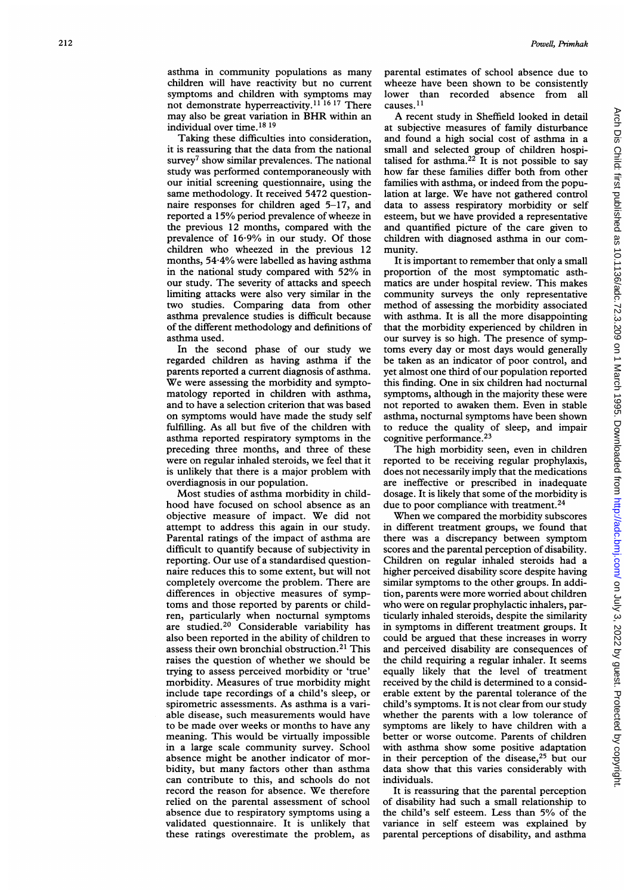asthma in community populations as many children will have reactivity but no current symptoms and children with symptoms may not demonstrate hyperreactivity.<sup>11 16 17</sup> There may also be great variation in BHR within an individual over time.<sup>18 19</sup>

Taking these difficulties into consideration, it is reassuring that the data from the national survey<sup>7</sup> show similar prevalences. The national study was performed contemporaneously with our initial screening questionnaire, using the same methodology. It received 5472 questionnaire responses for children aged 5-17, and reported <sup>a</sup> 15% period prevalence of wheeze in the previous 12 months, compared with the prevalence of 16-9% in our study. Of those children who wheezed in the previous 12 months, 54-4% were labelled as having asthma in the national study compared with 52% in our study. The severity of attacks and speech limiting attacks were also very similar in the two studies. Comparing data from other asthma prevalence studies is difficult because of the different methodology and definitions of asthma used.

In the second phase of our study we regarded children as having asthma if the parents reported a current diagnosis of asthma. We were assessing the morbidity and symptomatology reported in children with asthma, and to have a selection criterion that was based on symptoms would have made the study self fulfilling. As all but five of the children with asthma reported respiratory symptoms in the preceding three months, and three of these were on regular inhaled steroids, we feel that it is unlikely that there is a major problem with overdiagnosis in our population.

Most studies of asthma morbidity in childhood have focused on school absence as an objective measure of impact. We did not attempt to address this again in our study. Parental ratings of the impact of asthma are difficult to quantify because of subjectivity in reporting. Our use of a standardised questionnaire reduces this to some extent, but will not completely overcome the problem. There are differences in objective measures of symptoms and those reported by parents or children, particularly when noctumal symptoms are studied.20 Considerable variability has also been reported in the ability of children to assess their own bronchial obstruction.<sup>21</sup> This raises the question of whether we should be trying to assess perceived morbidity or 'true' morbidity. Measures of true morbidity might include tape recordings of a child's sleep, or spirometric assessments. As asthma is a variable disease, such measurements would have to be made over weeks or months to have any meaning. This would be virtually impossible in a large scale community survey. School absence might be another indicator of morbidity, but many factors other than asthma can contribute to this, and schools do not record the reason for absence. We therefore relied on the parental assessment of school absence due to respiratory symptoms using a validated questionnaire. It is unlikely that these ratings overestimate the problem, as

parental estimates of school absence due to wheeze have been shown to be consistently lower than recorded absence from all causes.<sup>11</sup>

A recent study in Sheffield looked in detail at subjective measures of family disturbance and found a high social cost of asthma in a small and selected group of children hospitalised for asthma.<sup>22</sup> It is not possible to say how far these families differ both from other families with asthma, or indeed from the population at large. We have not gathered control data to assess respiratory morbidity or self esteem, but we have provided a representative and quantified picture of the care given to children with diagnosed asthma in our community.

It is important to remember that only a small proportion of the most symptomatic asthmatics are under hospital review. This makes community surveys the only representative method of assessing the morbidity associated with asthma. It is all the more disappointing that the morbidity experienced by children in our survey is so high. The presence of symptoms every day or most days would generally be taken as an indicator of poor control, and yet almost one third of our population reported this finding. One in six children had nocturnal symptoms, although in the majority these were not reported to awaken them. Even in stable asthma, nocturnal symptoms have been shown to reduce the quality of sleep, and impair cognitive performance.<sup>23</sup>

The high morbidity seen, even in children reported to be receiving regular prophylaxis, does not necessarily imply that the medications are ineffective or prescribed in inadequate dosage. It is likely that some of the morbidity is due to poor compliance with treatment.<sup>24</sup>

When we compared the morbidity subscores in different treatment groups, we found that there was a discrepancy between symptom scores and the parental perception of disability. Children on regular inhaled steroids had a higher perceived disability score despite having similar symptoms to the other groups. In addition, parents were more worried about children who were on regular prophylactic inhalers, particularly inhaled steroids, despite the similarity in symptoms in different treatment groups. It could be argued that these increases in worry and perceived disability are consequences of the child requiring a regular inhaler. It seems equally likely that the level of treatment received by the child is determined to a considerable extent by the parental tolerance of the child's symptoms. It is not clear from our study whether the parents with a low tolerance of symptoms are likely to have children with a better or worse outcome. Parents of children with asthma show some positive adaptation in their perception of the disease, $25$  but our data show that this varies considerably with individuals.

It is reassuring that the parental perception of disability had such a small relationship to the child's self esteem. Less than 5% of the variance in self esteem was explained by parental perceptions of disability, and asthma